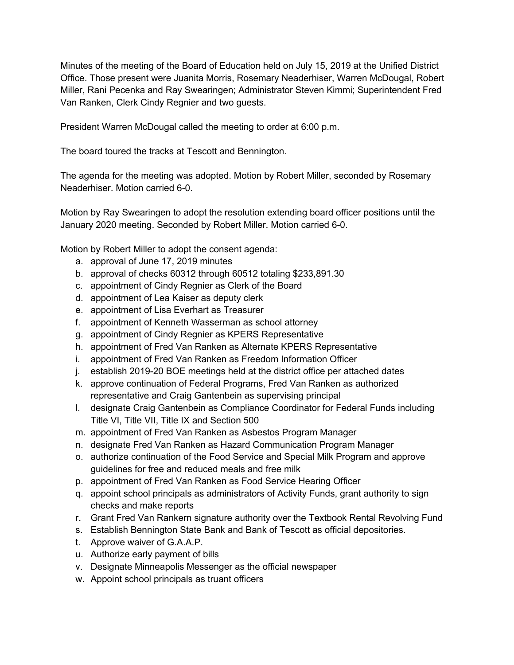Minutes of the meeting of the Board of Education held on July 15, 2019 at the Unified District Office. Those present were Juanita Morris, Rosemary Neaderhiser, Warren McDougal, Robert Miller, Rani Pecenka and Ray Swearingen; Administrator Steven Kimmi; Superintendent Fred Van Ranken, Clerk Cindy Regnier and two guests.

President Warren McDougal called the meeting to order at 6:00 p.m.

The board toured the tracks at Tescott and Bennington.

The agenda for the meeting was adopted. Motion by Robert Miller, seconded by Rosemary Neaderhiser. Motion carried 6-0.

Motion by Ray Swearingen to adopt the resolution extending board officer positions until the January 2020 meeting. Seconded by Robert Miller. Motion carried 6-0.

Motion by Robert Miller to adopt the consent agenda:

- a. approval of June 17, 2019 minutes
- b. approval of checks 60312 through 60512 totaling \$233,891.30
- c. appointment of Cindy Regnier as Clerk of the Board
- d. appointment of Lea Kaiser as deputy clerk
- e. appointment of Lisa Everhart as Treasurer
- f. appointment of Kenneth Wasserman as school attorney
- g. appointment of Cindy Regnier as KPERS Representative
- h. appointment of Fred Van Ranken as Alternate KPERS Representative
- i. appointment of Fred Van Ranken as Freedom Information Officer
- j. establish 2019-20 BOE meetings held at the district office per attached dates
- k. approve continuation of Federal Programs, Fred Van Ranken as authorized representative and Craig Gantenbein as supervising principal
- l. designate Craig Gantenbein as Compliance Coordinator for Federal Funds including Title VI, Title VII, Title IX and Section 500
- m. appointment of Fred Van Ranken as Asbestos Program Manager
- n. designate Fred Van Ranken as Hazard Communication Program Manager
- o. authorize continuation of the Food Service and Special Milk Program and approve guidelines for free and reduced meals and free milk
- p. appointment of Fred Van Ranken as Food Service Hearing Officer
- q. appoint school principals as administrators of Activity Funds, grant authority to sign checks and make reports
- r. Grant Fred Van Rankern signature authority over the Textbook Rental Revolving Fund
- s. Establish Bennington State Bank and Bank of Tescott as official depositories.
- t. Approve waiver of G.A.A.P.
- u. Authorize early payment of bills
- v. Designate Minneapolis Messenger as the official newspaper
- w. Appoint school principals as truant officers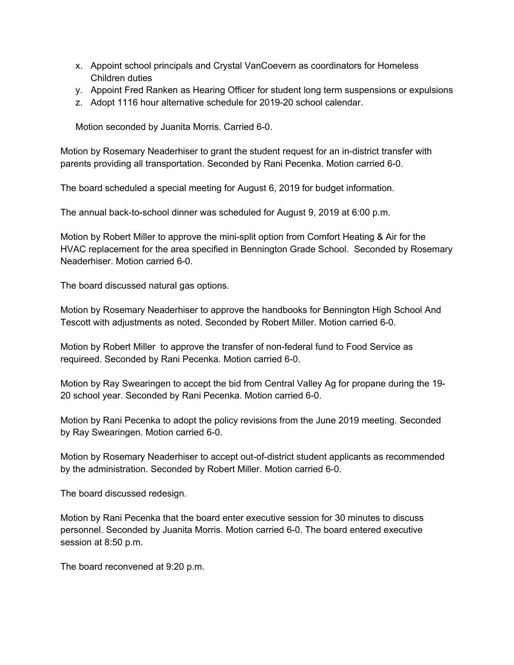- x. Appoint school principals and Crystal VanCoevern as coordinators for Homeless Children duties
- y. Appoint Fred Ranken as Hearing Officer for student long term suspensions or expulsions
- z. Adopt 1116 hour alternative schedule for 2019-20 school calendar.

Motion seconded by Juanita Morris. Carried 6-0.

Motion by Rosemary Neaderhiser to grant the student request for an in-district transfer with parents providing all transportation. Seconded by Rani Pecenka. Motion carried 6-0.

The board scheduled a special meeting for August 6, 2019 for budget information.

The annual back-to-school dinner was scheduled for August 9, 2019 at 6:00 p.m.

Motion by Robert Miller to approve the mini-split option from Comfort Heating & Air for the HVAC replacement for the area specified in Bennington Grade School. Seconded by Rosemary Neaderhiser. Motion carried 6-0.

The board discussed natural gas options.

Motion by Rosemary Neaderhiser to approve the handbooks for Bennington High School And Tescott with adjustments as noted. Seconded by Robert Miller. Motion carried 6-0.

Motion by Robert Miller to approve the transfer of non-federal fund to Food Service as requireed. Seconded by Rani Pecenka. Motion carried 6-0.

Motion by Ray Swearingen to accept the bid from Central Valley Ag for propane during the 19- 20 school year. Seconded by Rani Pecenka. Motion carried 6-0.

Motion by Rani Pecenka to adopt the policy revisions from the June 2019 meeting. Seconded by Ray Swearingen. Motion carried 6-0.

Motion by Rosemary Neaderhiser to accept out-of-district student applicants as recommended by the administration. Seconded by Robert Miller. Motion carried 6-0.

The board discussed redesign.

Motion by Rani Pecenka that the board enter executive session for 30 minutes to discuss personnel. Seconded by Juanita Morris. Motion carried 6-0. The board entered executive session at 8:50 p.m.

The board reconvened at 9:20 p.m.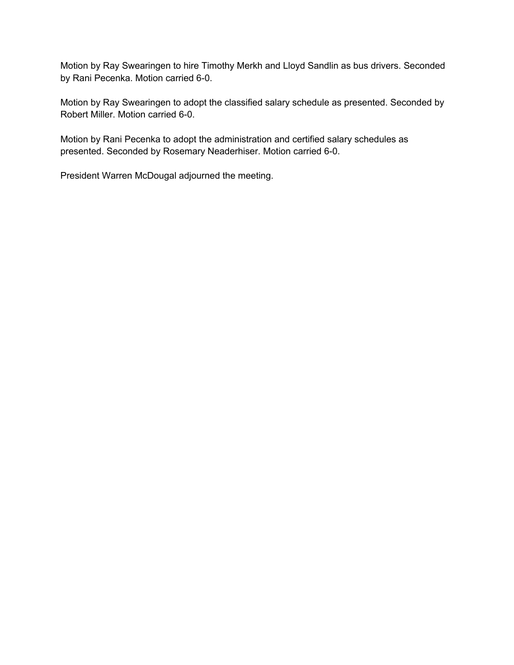Motion by Ray Swearingen to hire Timothy Merkh and Lloyd Sandlin as bus drivers. Seconded by Rani Pecenka. Motion carried 6-0.

Motion by Ray Swearingen to adopt the classified salary schedule as presented. Seconded by Robert Miller. Motion carried 6-0.

Motion by Rani Pecenka to adopt the administration and certified salary schedules as presented. Seconded by Rosemary Neaderhiser. Motion carried 6-0.

President Warren McDougal adjourned the meeting.